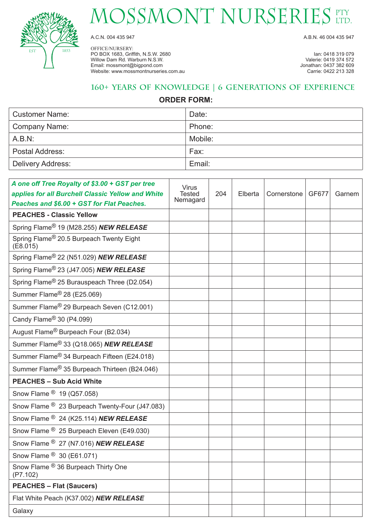

## MOSSMONT NURSERIES ETY

OFFICE/NURSERY: PO BOX 1683, Griffith, N.S.W. 2680 **Ian: 0418 319 079** Ian: 0418 319 079<br>
Willow Dam Rd. Warburn N.S.W. **Ian: 0419 374 572** Willow Dam Rd. Warburn N.S.W. New York 1980 of the United States of the United States of the United States of the United States of the United States of the United States of the United States of the United States of the Uni Email: mossmont@bigpond.com Jonathan: 0437 382 609 Website: www.mossmontnurseries.com.au

A.C.N. 004 435 947 A.B.N. 46 004 435 947

## **160+ Years of Knowledge | 6 Generations of Experience**

### **ORDER FORM:**

| <b>Customer Name:</b> | Date:   |
|-----------------------|---------|
| Company Name:         | Phone:  |
| A.B.N:                | Mobile: |
| Postal Address:       | Fax:    |
| Delivery Address:     | Email:  |

| A one off Tree Royalty of \$3.00 + GST per tree<br>applies for all Burchell Classic Yellow and White<br>Peaches and \$6.00 + GST for Flat Peaches. | <b>Virus</b><br><b>Tested</b><br>Nemagard | 204 | Elberta | Cornerstone | GF677 | Garnem |
|----------------------------------------------------------------------------------------------------------------------------------------------------|-------------------------------------------|-----|---------|-------------|-------|--------|
| <b>PEACHES - Classic Yellow</b>                                                                                                                    |                                           |     |         |             |       |        |
| Spring Flame <sup>®</sup> 19 (M28.255) <b>NEW RELEASE</b>                                                                                          |                                           |     |         |             |       |        |
| Spring Flame <sup>®</sup> 20.5 Burpeach Twenty Eight<br>(E8.015)                                                                                   |                                           |     |         |             |       |        |
| Spring Flame® 22 (N51.029) NEW RELEASE                                                                                                             |                                           |     |         |             |       |        |
| Spring Flame® 23 (J47.005) NEW RELEASE                                                                                                             |                                           |     |         |             |       |        |
| Spring Flame <sup>®</sup> 25 Burauspeach Three (D2.054)                                                                                            |                                           |     |         |             |       |        |
| Summer Flame <sup>®</sup> 28 (E25.069)                                                                                                             |                                           |     |         |             |       |        |
| Summer Flame® 29 Burpeach Seven (C12.001)                                                                                                          |                                           |     |         |             |       |        |
| Candy Flame <sup>®</sup> 30 (P4.099)                                                                                                               |                                           |     |         |             |       |        |
| August Flame <sup>®</sup> Burpeach Four (B2.034)                                                                                                   |                                           |     |         |             |       |        |
| Summer Flame® 33 (Q18.065) NEW RELEASE                                                                                                             |                                           |     |         |             |       |        |
| Summer Flame <sup>®</sup> 34 Burpeach Fifteen (E24.018)                                                                                            |                                           |     |         |             |       |        |
| Summer Flame <sup>®</sup> 35 Burpeach Thirteen (B24.046)                                                                                           |                                           |     |         |             |       |        |
| <b>PEACHES - Sub Acid White</b>                                                                                                                    |                                           |     |         |             |       |        |
| Snow Flame <sup>®</sup> 19 (Q57.058)                                                                                                               |                                           |     |         |             |       |        |
| Snow Flame <sup>®</sup> 23 Burpeach Twenty-Four (J47.083)                                                                                          |                                           |     |         |             |       |        |
| Snow Flame <sup>®</sup> 24 (K25.114) <b>NEW RELEASE</b>                                                                                            |                                           |     |         |             |       |        |
| Snow Flame <sup>®</sup> 25 Burpeach Eleven (E49.030)                                                                                               |                                           |     |         |             |       |        |
| Snow Flame <sup>®</sup> 27 (N7.016) <b>NEW RELEASE</b>                                                                                             |                                           |     |         |             |       |        |
| Snow Flame <sup>®</sup> 30 (E61.071)                                                                                                               |                                           |     |         |             |       |        |
| Snow Flame ® 36 Burpeach Thirty One<br>(P7.102)                                                                                                    |                                           |     |         |             |       |        |
| <b>PEACHES - Flat (Saucers)</b>                                                                                                                    |                                           |     |         |             |       |        |
| Flat White Peach (K37.002) NEW RELEASE                                                                                                             |                                           |     |         |             |       |        |
| Galaxy                                                                                                                                             |                                           |     |         |             |       |        |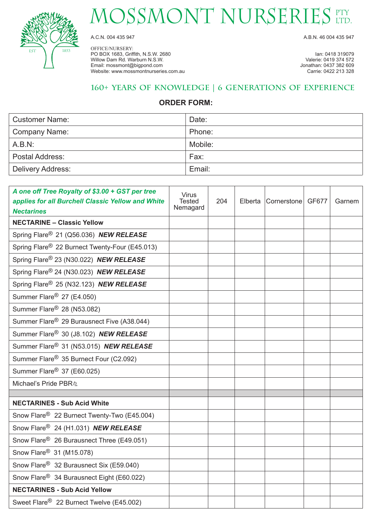

## MOSSMONT NURSERIES ETY

OFFICE/NURSERY: PO BOX 1683, Griffith, N.S.W. 2680 **Ian: 0418 319079** Ian: 0418 319079<br>
Willow Dam Rd. Warburn N.S.W. **Ian: 0419 374 572** Willow Dam Rd. Warburn N.S.W. New York 1980 of the United States of the United States of the United States of the United States of the United States of the United States of the United States of the United States of the Uni Email: mossmont@bigpond.com Jonathan: 0437 382 609 Website: www.mossmontnurseries.com.au

A.C.N. 004 435 947 A.B.N. 46 004 435 947

### **160+ Years of Knowledge | 6 Generations of Experience**

#### **ORDER FORM:**

| <b>Customer Name:</b>  | Date:   |
|------------------------|---------|
| Company Name:          | Phone:  |
| A.B.N:                 | Mobile: |
| <b>Postal Address:</b> | Fax:    |
| Delivery Address:      | Email:  |

| A one off Tree Royalty of \$3.00 + GST per tree<br>applies for all Burchell Classic Yellow and White<br><b>Nectarines</b> | <b>Virus</b><br><b>Tested</b><br>Nemagard | 204 | Elberta Cornerstone GF677 | Garnem |
|---------------------------------------------------------------------------------------------------------------------------|-------------------------------------------|-----|---------------------------|--------|
| <b>NECTARINE - Classic Yellow</b>                                                                                         |                                           |     |                           |        |
| Spring Flare <sup>®</sup> 21 (Q56.036) NEW RELEASE                                                                        |                                           |     |                           |        |
| Spring Flare <sup>®</sup> 22 Burnect Twenty-Four (E45.013)                                                                |                                           |     |                           |        |
| Spring Flare® 23 (N30.022) NEW RELEASE                                                                                    |                                           |     |                           |        |
| Spring Flare <sup>®</sup> 24 (N30.023) NEW RELEASE                                                                        |                                           |     |                           |        |
| Spring Flare <sup>®</sup> 25 (N32.123) NEW RELEASE                                                                        |                                           |     |                           |        |
| Summer Flare <sup>®</sup> 27 (E4.050)                                                                                     |                                           |     |                           |        |
| Summer Flare <sup>®</sup> 28 (N53.082)                                                                                    |                                           |     |                           |        |
| Summer Flare <sup>®</sup> 29 Burausnect Five (A38.044)                                                                    |                                           |     |                           |        |
| Summer Flare <sup>®</sup> 30 (J8.102) NEW RELEASE                                                                         |                                           |     |                           |        |
| Summer Flare <sup>®</sup> 31 (N53.015) NEW RELEASE                                                                        |                                           |     |                           |        |
| Summer Flare <sup>®</sup> 35 Burnect Four (C2.092)                                                                        |                                           |     |                           |        |
| Summer Flare <sup>®</sup> 37 (E60.025)                                                                                    |                                           |     |                           |        |
| Michael's Pride PBR <sup>®</sup>                                                                                          |                                           |     |                           |        |
|                                                                                                                           |                                           |     |                           |        |
| <b>NECTARINES - Sub Acid White</b>                                                                                        |                                           |     |                           |        |
| Snow Flare <sup>®</sup> 22 Burnect Twenty-Two (E45.004)                                                                   |                                           |     |                           |        |
| Snow Flare <sup>®</sup> 24 (H1.031) NEW RELEASE                                                                           |                                           |     |                           |        |
| Snow Flare <sup>®</sup> 26 Burausnect Three (E49.051)                                                                     |                                           |     |                           |        |
| Snow Flare <sup>®</sup> 31 (M15.078)                                                                                      |                                           |     |                           |        |
| Snow Flare <sup>®</sup> 32 Burausnect Six (E59.040)                                                                       |                                           |     |                           |        |
| Snow Flare <sup>®</sup> 34 Burausnect Eight (E60.022)                                                                     |                                           |     |                           |        |
| <b>NECTARINES - Sub Acid Yellow</b>                                                                                       |                                           |     |                           |        |
| Sweet Flare <sup>®</sup> 22 Burnect Twelve (E45.002)                                                                      |                                           |     |                           |        |